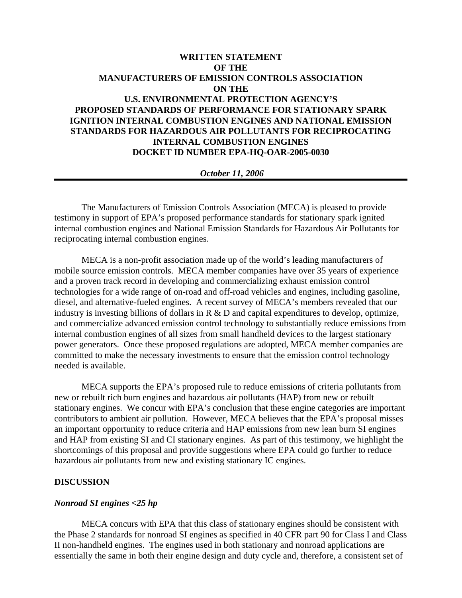# **WRITTEN STATEMENT OF THE MANUFACTURERS OF EMISSION CONTROLS ASSOCIATION ON THE U.S. ENVIRONMENTAL PROTECTION AGENCY'S PROPOSED STANDARDS OF PERFORMANCE FOR STATIONARY SPARK IGNITION INTERNAL COMBUSTION ENGINES AND NATIONAL EMISSION STANDARDS FOR HAZARDOUS AIR POLLUTANTS FOR RECIPROCATING INTERNAL COMBUSTION ENGINES DOCKET ID NUMBER EPA-HQ-OAR-2005-0030**

# *October 11, 2006*

The Manufacturers of Emission Controls Association (MECA) is pleased to provide testimony in support of EPA's proposed performance standards for stationary spark ignited internal combustion engines and National Emission Standards for Hazardous Air Pollutants for reciprocating internal combustion engines.

MECA is a non-profit association made up of the world's leading manufacturers of mobile source emission controls. MECA member companies have over 35 years of experience and a proven track record in developing and commercializing exhaust emission control technologies for a wide range of on-road and off-road vehicles and engines, including gasoline, diesel, and alternative-fueled engines. A recent survey of MECA's members revealed that our industry is investing billions of dollars in R & D and capital expenditures to develop, optimize, and commercialize advanced emission control technology to substantially reduce emissions from internal combustion engines of all sizes from small handheld devices to the largest stationary power generators. Once these proposed regulations are adopted, MECA member companies are committed to make the necessary investments to ensure that the emission control technology needed is available.

MECA supports the EPA's proposed rule to reduce emissions of criteria pollutants from new or rebuilt rich burn engines and hazardous air pollutants (HAP) from new or rebuilt stationary engines. We concur with EPA's conclusion that these engine categories are important contributors to ambient air pollution. However, MECA believes that the EPA's proposal misses an important opportunity to reduce criteria and HAP emissions from new lean burn SI engines and HAP from existing SI and CI stationary engines. As part of this testimony, we highlight the shortcomings of this proposal and provide suggestions where EPA could go further to reduce hazardous air pollutants from new and existing stationary IC engines.

# **DISCUSSION**

#### *Nonroad SI engines <25 hp*

MECA concurs with EPA that this class of stationary engines should be consistent with the Phase 2 standards for nonroad SI engines as specified in 40 CFR part 90 for Class I and Class II non-handheld engines. The engines used in both stationary and nonroad applications are essentially the same in both their engine design and duty cycle and, therefore, a consistent set of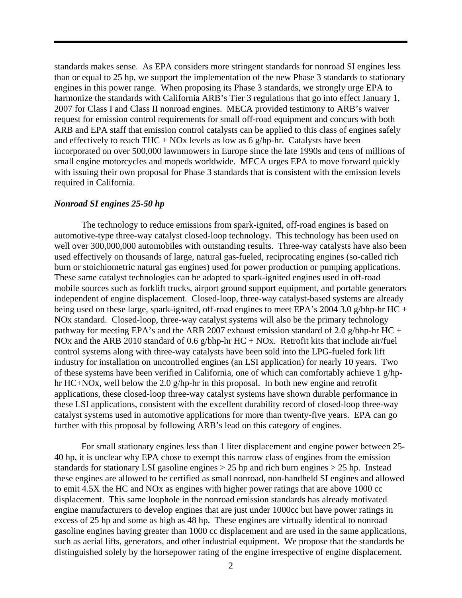standards makes sense. As EPA considers more stringent standards for nonroad SI engines less than or equal to 25 hp, we support the implementation of the new Phase 3 standards to stationary engines in this power range. When proposing its Phase 3 standards, we strongly urge EPA to harmonize the standards with California ARB's Tier 3 regulations that go into effect January 1, 2007 for Class I and Class II nonroad engines. MECA provided testimony to ARB's waiver request for emission control requirements for small off-road equipment and concurs with both ARB and EPA staff that emission control catalysts can be applied to this class of engines safely and effectively to reach THC + NOx levels as low as 6 g/hp-hr. Catalysts have been incorporated on over 500,000 lawnmowers in Europe since the late 1990s and tens of millions of small engine motorcycles and mopeds worldwide. MECA urges EPA to move forward quickly with issuing their own proposal for Phase 3 standards that is consistent with the emission levels required in California.

#### *Nonroad SI engines 25-50 hp*

The technology to reduce emissions from spark-ignited, off-road engines is based on automotive-type three-way catalyst closed-loop technology. This technology has been used on well over 300,000,000 automobiles with outstanding results. Three-way catalysts have also been used effectively on thousands of large, natural gas-fueled, reciprocating engines (so-called rich burn or stoichiometric natural gas engines) used for power production or pumping applications. These same catalyst technologies can be adapted to spark-ignited engines used in off-road mobile sources such as forklift trucks, airport ground support equipment, and portable generators independent of engine displacement. Closed-loop, three-way catalyst-based systems are already being used on these large, spark-ignited, off-road engines to meet EPA's 2004 3.0 g/bhp-hr HC + NOx standard. Closed-loop, three-way catalyst systems will also be the primary technology pathway for meeting EPA's and the ARB 2007 exhaust emission standard of 2.0 g/bhp-hr HC + NOx and the ARB 2010 standard of 0.6 g/bhp-hr  $HC + NOx$ . Retrofit kits that include air/fuel control systems along with three-way catalysts have been sold into the LPG-fueled fork lift industry for installation on uncontrolled engines (an LSI application) for nearly 10 years. Two of these systems have been verified in California, one of which can comfortably achieve 1 g/hphr HC+NOx, well below the 2.0 g/hp-hr in this proposal. In both new engine and retrofit applications, these closed-loop three-way catalyst systems have shown durable performance in these LSI applications, consistent with the excellent durability record of closed-loop three-way catalyst systems used in automotive applications for more than twenty-five years. EPA can go further with this proposal by following ARB's lead on this category of engines.

For small stationary engines less than 1 liter displacement and engine power between 25- 40 hp, it is unclear why EPA chose to exempt this narrow class of engines from the emission standards for stationary LSI gasoline engines  $> 25$  hp and rich burn engines  $> 25$  hp. Instead these engines are allowed to be certified as small nonroad, non-handheld SI engines and allowed to emit 4.5X the HC and NOx as engines with higher power ratings that are above 1000 cc displacement. This same loophole in the nonroad emission standards has already motivated engine manufacturers to develop engines that are just under 1000cc but have power ratings in excess of 25 hp and some as high as 48 hp. These engines are virtually identical to nonroad gasoline engines having greater than 1000 cc displacement and are used in the same applications, such as aerial lifts, generators, and other industrial equipment. We propose that the standards be distinguished solely by the horsepower rating of the engine irrespective of engine displacement.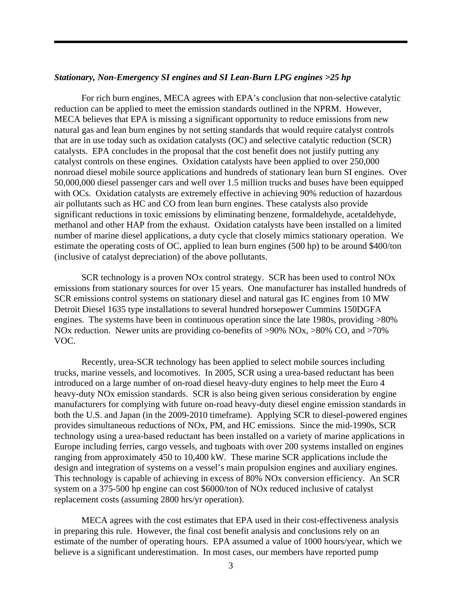#### *Stationary, Non-Emergency SI engines and SI Lean-Burn LPG engines >25 hp*

 For rich burn engines, MECA agrees with EPA's conclusion that non-selective catalytic reduction can be applied to meet the emission standards outlined in the NPRM. However, MECA believes that EPA is missing a significant opportunity to reduce emissions from new natural gas and lean burn engines by not setting standards that would require catalyst controls that are in use today such as oxidation catalysts (OC) and selective catalytic reduction (SCR) catalysts. EPA concludes in the proposal that the cost benefit does not justify putting any catalyst controls on these engines. Oxidation catalysts have been applied to over 250,000 nonroad diesel mobile source applications and hundreds of stationary lean burn SI engines. Over 50,000,000 diesel passenger cars and well over 1.5 million trucks and buses have been equipped with OCs. Oxidation catalysts are extremely effective in achieving 90% reduction of hazardous air pollutants such as HC and CO from lean burn engines. These catalysts also provide significant reductions in toxic emissions by eliminating benzene, formaldehyde, acetaldehyde, methanol and other HAP from the exhaust. Oxidation catalysts have been installed on a limited number of marine diesel applications, a duty cycle that closely mimics stationary operation. We estimate the operating costs of OC, applied to lean burn engines (500 hp) to be around \$400/ton (inclusive of catalyst depreciation) of the above pollutants.

 SCR technology is a proven NOx control strategy. SCR has been used to control NOx emissions from stationary sources for over 15 years. One manufacturer has installed hundreds of SCR emissions control systems on stationary diesel and natural gas IC engines from 10 MW Detroit Diesel 1635 type installations to several hundred horsepower Cummins 150DGFA engines. The systems have been in continuous operation since the late 1980s, providing >80% NOx reduction. Newer units are providing co-benefits of >90% NOx, >80% CO, and >70% VOC.

Recently, urea-SCR technology has been applied to select mobile sources including trucks, marine vessels, and locomotives. In 2005, SCR using a urea-based reductant has been introduced on a large number of on-road diesel heavy-duty engines to help meet the Euro 4 heavy-duty NOx emission standards. SCR is also being given serious consideration by engine manufacturers for complying with future on-road heavy-duty diesel engine emission standards in both the U.S. and Japan (in the 2009-2010 timeframe). Applying SCR to diesel-powered engines provides simultaneous reductions of NOx, PM, and HC emissions. Since the mid-1990s, SCR technology using a urea-based reductant has been installed on a variety of marine applications in Europe including ferries, cargo vessels, and tugboats with over 200 systems installed on engines ranging from approximately 450 to 10,400 kW. These marine SCR applications include the design and integration of systems on a vessel's main propulsion engines and auxiliary engines. This technology is capable of achieving in excess of 80% NOx conversion efficiency. An SCR system on a 375-500 hp engine can cost \$6000/ton of NOx reduced inclusive of catalyst replacement costs (assuming 2800 hrs/yr operation).

 MECA agrees with the cost estimates that EPA used in their cost-effectiveness analysis in preparing this rule. However, the final cost benefit analysis and conclusions rely on an estimate of the number of operating hours. EPA assumed a value of 1000 hours/year, which we believe is a significant underestimation. In most cases, our members have reported pump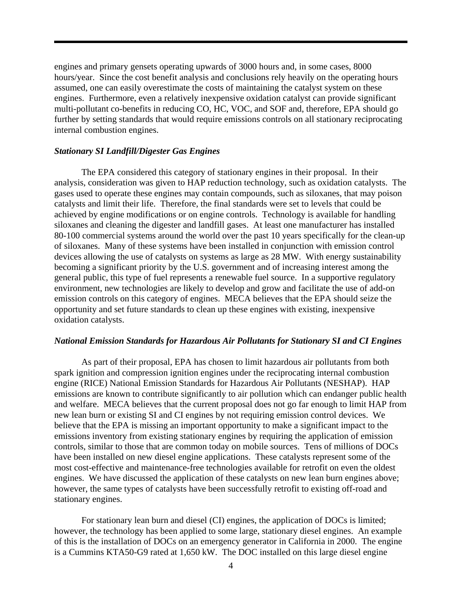engines and primary gensets operating upwards of 3000 hours and, in some cases, 8000 hours/year. Since the cost benefit analysis and conclusions rely heavily on the operating hours assumed, one can easily overestimate the costs of maintaining the catalyst system on these engines. Furthermore, even a relatively inexpensive oxidation catalyst can provide significant multi-pollutant co-benefits in reducing CO, HC, VOC, and SOF and, therefore, EPA should go further by setting standards that would require emissions controls on all stationary reciprocating internal combustion engines.

# *Stationary SI Landfill/Digester Gas Engines*

 The EPA considered this category of stationary engines in their proposal. In their analysis, consideration was given to HAP reduction technology, such as oxidation catalysts. The gases used to operate these engines may contain compounds, such as siloxanes, that may poison catalysts and limit their life. Therefore, the final standards were set to levels that could be achieved by engine modifications or on engine controls. Technology is available for handling siloxanes and cleaning the digester and landfill gases. At least one manufacturer has installed 80-100 commercial systems around the world over the past 10 years specifically for the clean-up of siloxanes. Many of these systems have been installed in conjunction with emission control devices allowing the use of catalysts on systems as large as 28 MW. With energy sustainability becoming a significant priority by the U.S. government and of increasing interest among the general public, this type of fuel represents a renewable fuel source. In a supportive regulatory environment, new technologies are likely to develop and grow and facilitate the use of add-on emission controls on this category of engines. MECA believes that the EPA should seize the opportunity and set future standards to clean up these engines with existing, inexpensive oxidation catalysts.

# *National Emission Standards for Hazardous Air Pollutants for Stationary SI and CI Engines*

 As part of their proposal, EPA has chosen to limit hazardous air pollutants from both spark ignition and compression ignition engines under the reciprocating internal combustion engine (RICE) National Emission Standards for Hazardous Air Pollutants (NESHAP). HAP emissions are known to contribute significantly to air pollution which can endanger public health and welfare. MECA believes that the current proposal does not go far enough to limit HAP from new lean burn or existing SI and CI engines by not requiring emission control devices. We believe that the EPA is missing an important opportunity to make a significant impact to the emissions inventory from existing stationary engines by requiring the application of emission controls, similar to those that are common today on mobile sources. Tens of millions of DOCs have been installed on new diesel engine applications. These catalysts represent some of the most cost-effective and maintenance-free technologies available for retrofit on even the oldest engines. We have discussed the application of these catalysts on new lean burn engines above; however, the same types of catalysts have been successfully retrofit to existing off-road and stationary engines.

For stationary lean burn and diesel (CI) engines, the application of DOCs is limited; however, the technology has been applied to some large, stationary diesel engines. An example of this is the installation of DOCs on an emergency generator in California in 2000. The engine is a Cummins KTA50-G9 rated at 1,650 kW. The DOC installed on this large diesel engine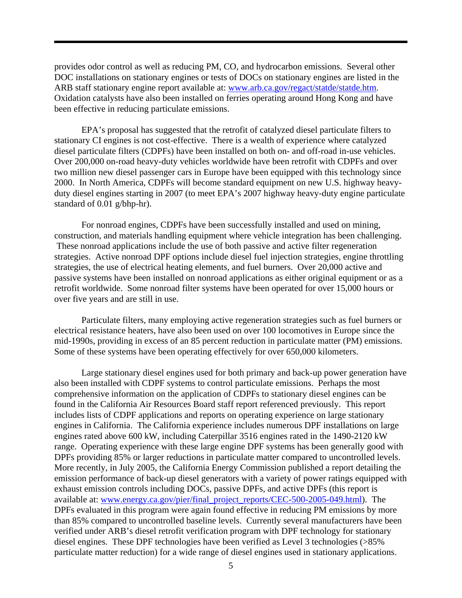provides odor control as well as reducing PM, CO, and hydrocarbon emissions. Several other DOC installations on stationary engines or tests of DOCs on stationary engines are listed in the ARB staff stationary engine report available at: [www.arb.ca.gov/regact/statde/statde.htm.](http://www.arb.ca.gov/regact/statde/statde.htm) Oxidation catalysts have also been installed on ferries operating around Hong Kong and have been effective in reducing particulate emissions.

EPA's proposal has suggested that the retrofit of catalyzed diesel particulate filters to stationary CI engines is not cost-effective. There is a wealth of experience where catalyzed diesel particulate filters (CDPFs) have been installed on both on- and off-road in-use vehicles. Over 200,000 on-road heavy-duty vehicles worldwide have been retrofit with CDPFs and over two million new diesel passenger cars in Europe have been equipped with this technology since 2000. In North America, CDPFs will become standard equipment on new U.S. highway heavyduty diesel engines starting in 2007 (to meet EPA's 2007 highway heavy-duty engine particulate standard of 0.01 g/bhp-hr).

For nonroad engines, CDPFs have been successfully installed and used on mining, construction, and materials handling equipment where vehicle integration has been challenging. These nonroad applications include the use of both passive and active filter regeneration strategies. Active nonroad DPF options include diesel fuel injection strategies, engine throttling strategies, the use of electrical heating elements, and fuel burners. Over 20,000 active and passive systems have been installed on nonroad applications as either original equipment or as a retrofit worldwide. Some nonroad filter systems have been operated for over 15,000 hours or over five years and are still in use.

Particulate filters, many employing active regeneration strategies such as fuel burners or electrical resistance heaters, have also been used on over 100 locomotives in Europe since the mid-1990s, providing in excess of an 85 percent reduction in particulate matter (PM) emissions. Some of these systems have been operating effectively for over 650,000 kilometers.

Large stationary diesel engines used for both primary and back-up power generation have also been installed with CDPF systems to control particulate emissions. Perhaps the most comprehensive information on the application of CDPFs to stationary diesel engines can be found in the California Air Resources Board staff report referenced previously. This report includes lists of CDPF applications and reports on operating experience on large stationary engines in California. The California experience includes numerous DPF installations on large engines rated above 600 kW, including Caterpillar 3516 engines rated in the 1490-2120 kW range. Operating experience with these large engine DPF systems has been generally good with DPFs providing 85% or larger reductions in particulate matter compared to uncontrolled levels. More recently, in July 2005, the California Energy Commission published a report detailing the emission performance of back-up diesel generators with a variety of power ratings equipped with exhaust emission controls including DOCs, passive DPFs, and active DPFs (this report is available at: [www.energy.ca.gov/pier/final\\_project\\_reports/CEC-500-2005-049.html\)](http://www.energy.ca.gov/pier/final_project_reports/CEC-500-2005-049.html). The DPFs evaluated in this program were again found effective in reducing PM emissions by more than 85% compared to uncontrolled baseline levels. Currently several manufacturers have been verified under ARB's diesel retrofit verification program with DPF technology for stationary diesel engines. These DPF technologies have been verified as Level 3 technologies (>85% particulate matter reduction) for a wide range of diesel engines used in stationary applications.